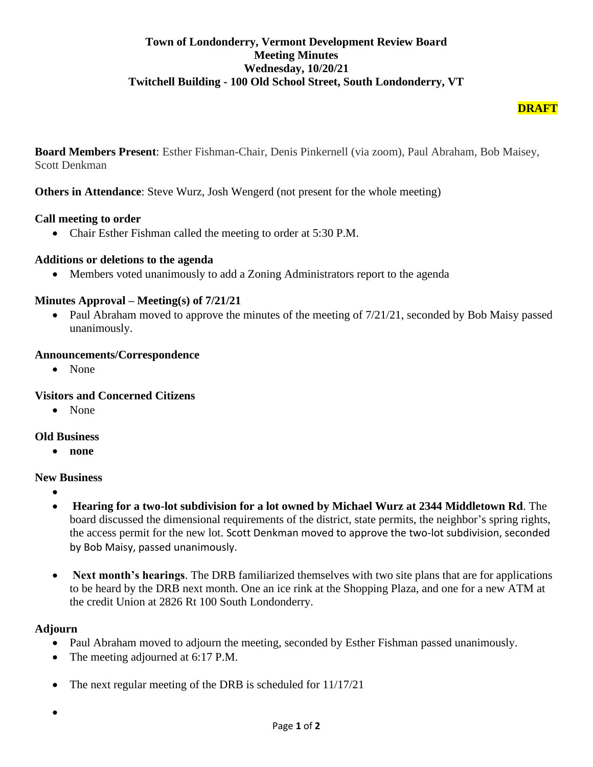## **Town of Londonderry, Vermont Development Review Board Meeting Minutes Wednesday, 10/20/21 Twitchell Building - 100 Old School Street, South Londonderry, VT**

#### **DRAFT**

**Board Members Present**: Esther Fishman-Chair, Denis Pinkernell (via zoom), Paul Abraham, Bob Maisey, Scott Denkman

**Others in Attendance**: Steve Wurz, Josh Wengerd (not present for the whole meeting)

### **Call meeting to order**

• Chair Esther Fishman called the meeting to order at 5:30 P.M.

#### **Additions or deletions to the agenda**

• Members voted unanimously to add a Zoning Administrators report to the agenda

#### **Minutes Approval – Meeting(s) of 7/21/21**

• Paul Abraham moved to approve the minutes of the meeting of 7/21/21, seconded by Bob Maisy passed unanimously.

#### **Announcements/Correspondence**

• None

#### **Visitors and Concerned Citizens**

• None

## **Old Business**

• **none**

#### **New Business**

- •
- **Hearing for a two-lot subdivision for a lot owned by Michael Wurz at 2344 Middletown Rd**. The board discussed the dimensional requirements of the district, state permits, the neighbor's spring rights, the access permit for the new lot. Scott Denkman moved to approve the two-lot subdivision, seconded by Bob Maisy, passed unanimously.
- **Next month's hearings**. The DRB familiarized themselves with two site plans that are for applications to be heard by the DRB next month. One an ice rink at the Shopping Plaza, and one for a new ATM at the credit Union at 2826 Rt 100 South Londonderry.

#### **Adjourn**

•

- Paul Abraham moved to adjourn the meeting, seconded by Esther Fishman passed unanimously.
- The meeting adjourned at 6:17 P.M.
- The next regular meeting of the DRB is scheduled for  $11/17/21$ 
	- Page **1** of **2**